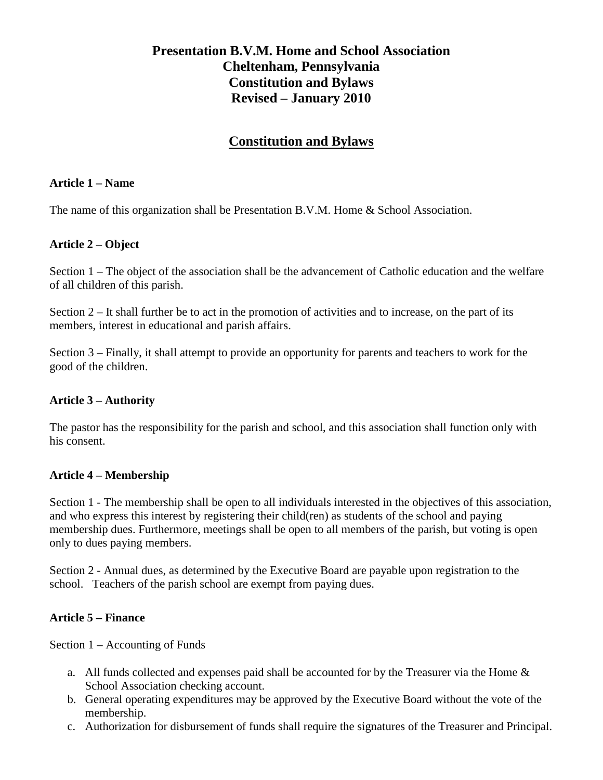# **Presentation B.V.M. Home and School Association Cheltenham, Pennsylvania Constitution and Bylaws Revised – January 2010**

## **Constitution and Bylaws**

#### **Article 1 – Name**

The name of this organization shall be Presentation B.V.M. Home & School Association.

### **Article 2 – Object**

Section 1 – The object of the association shall be the advancement of Catholic education and the welfare of all children of this parish.

Section 2 – It shall further be to act in the promotion of activities and to increase, on the part of its members, interest in educational and parish affairs.

Section 3 – Finally, it shall attempt to provide an opportunity for parents and teachers to work for the good of the children.

### **Article 3 – Authority**

The pastor has the responsibility for the parish and school, and this association shall function only with his consent.

### **Article 4 – Membership**

Section 1 - The membership shall be open to all individuals interested in the objectives of this association, and who express this interest by registering their child(ren) as students of the school and paying membership dues. Furthermore, meetings shall be open to all members of the parish, but voting is open only to dues paying members.

Section 2 - Annual dues, as determined by the Executive Board are payable upon registration to the school. Teachers of the parish school are exempt from paying dues.

### **Article 5 – Finance**

Section 1 – Accounting of Funds

- a. All funds collected and expenses paid shall be accounted for by the Treasurer via the Home & School Association checking account.
- b. General operating expenditures may be approved by the Executive Board without the vote of the membership.
- c. Authorization for disbursement of funds shall require the signatures of the Treasurer and Principal.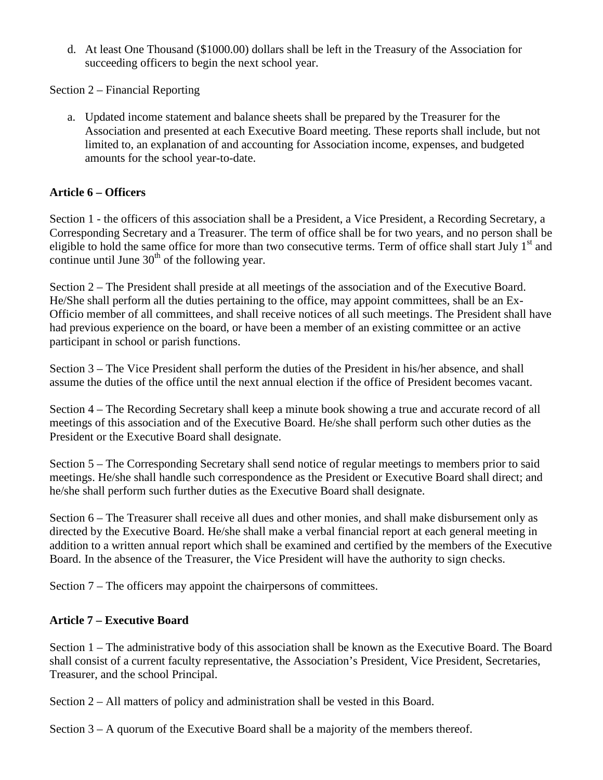d. At least One Thousand (\$1000.00) dollars shall be left in the Treasury of the Association for succeeding officers to begin the next school year.

Section 2 – Financial Reporting

a. Updated income statement and balance sheets shall be prepared by the Treasurer for the Association and presented at each Executive Board meeting. These reports shall include, but not limited to, an explanation of and accounting for Association income, expenses, and budgeted amounts for the school year-to-date.

## **Article 6 – Officers**

Section 1 - the officers of this association shall be a President, a Vice President, a Recording Secretary, a Corresponding Secretary and a Treasurer. The term of office shall be for two years, and no person shall be eligible to hold the same office for more than two consecutive terms. Term of office shall start July 1<sup>st</sup> and continue until June  $30<sup>th</sup>$  of the following year.

Section 2 – The President shall preside at all meetings of the association and of the Executive Board. He/She shall perform all the duties pertaining to the office, may appoint committees, shall be an Ex-Officio member of all committees, and shall receive notices of all such meetings. The President shall have had previous experience on the board, or have been a member of an existing committee or an active participant in school or parish functions.

Section 3 – The Vice President shall perform the duties of the President in his/her absence, and shall assume the duties of the office until the next annual election if the office of President becomes vacant.

Section 4 – The Recording Secretary shall keep a minute book showing a true and accurate record of all meetings of this association and of the Executive Board. He/she shall perform such other duties as the President or the Executive Board shall designate.

Section 5 – The Corresponding Secretary shall send notice of regular meetings to members prior to said meetings. He/she shall handle such correspondence as the President or Executive Board shall direct; and he/she shall perform such further duties as the Executive Board shall designate.

Section 6 – The Treasurer shall receive all dues and other monies, and shall make disbursement only as directed by the Executive Board. He/she shall make a verbal financial report at each general meeting in addition to a written annual report which shall be examined and certified by the members of the Executive Board. In the absence of the Treasurer, the Vice President will have the authority to sign checks.

Section 7 – The officers may appoint the chairpersons of committees.

## **Article 7 – Executive Board**

Section 1 – The administrative body of this association shall be known as the Executive Board. The Board shall consist of a current faculty representative, the Association's President, Vice President, Secretaries, Treasurer, and the school Principal.

Section 2 – All matters of policy and administration shall be vested in this Board.

Section 3 – A quorum of the Executive Board shall be a majority of the members thereof.